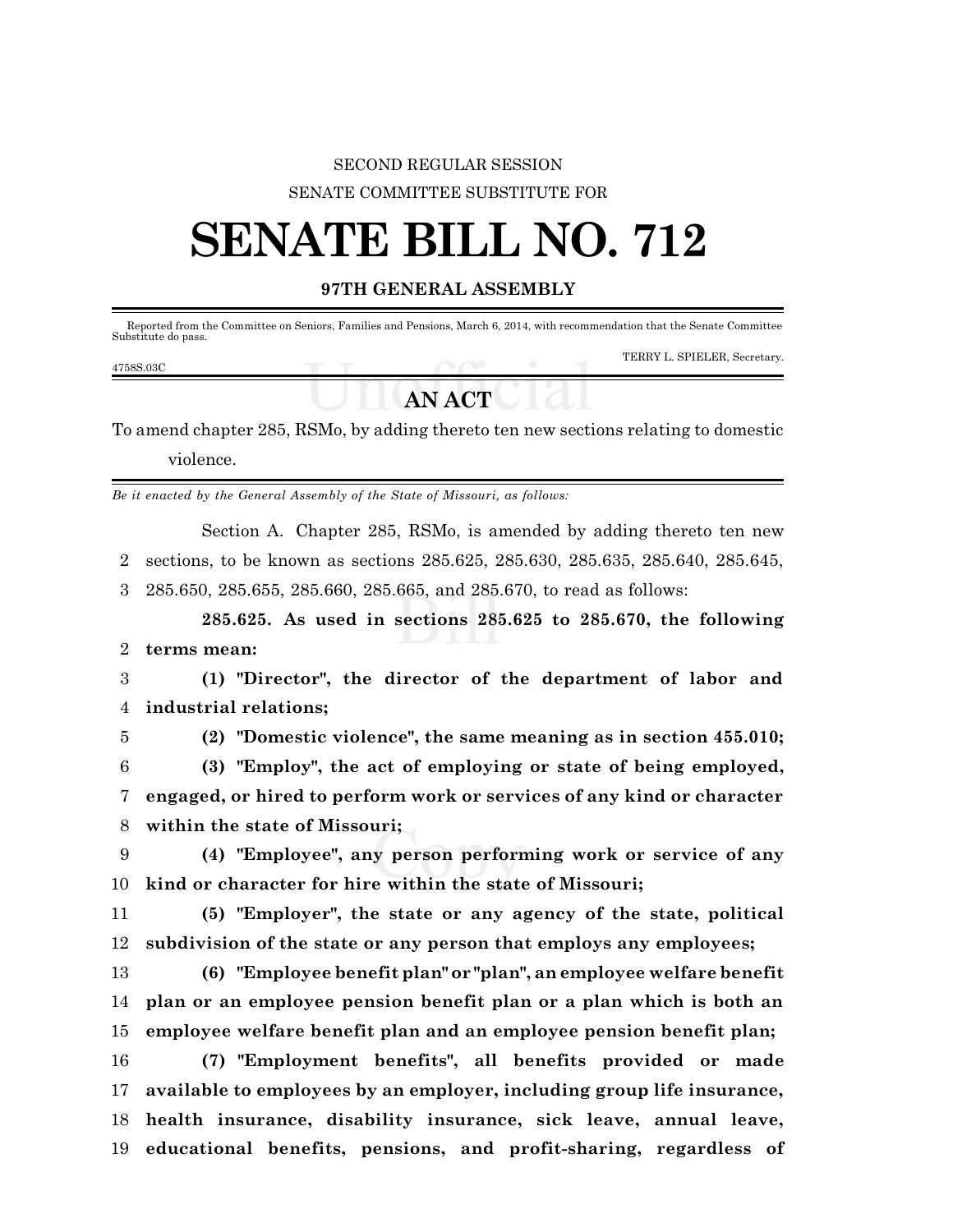## SECOND REGULAR SESSION SENATE COMMITTEE SUBSTITUTE FOR

## **SENATE BILL NO. 712**

## **97TH GENERAL ASSEMBLY**

 Reported from the Committee on Seniors, Families and Pensions, March 6, 2014, with recommendation that the Senate Committee Substitute do pass. TERRY L. SPIELER, Secretary. 4758S.03C

## **AN ACT**

To amend chapter 285, RSMo, by adding thereto ten new sections relating to domestic violence.

*Be it enacted by the General Assembly of the State of Missouri, as follows:*

Section A. Chapter 285, RSMo, is amended by adding thereto ten new sections, to be known as sections 285.625, 285.630, 285.635, 285.640, 285.645, 285.650, 285.655, 285.660, 285.665, and 285.670, to read as follows:

**285.625. As used in sections 285.625 to 285.670, the following terms mean:**

 **(1) "Director", the director of the department of labor and industrial relations;**

**(2) "Domestic violence", the same meaning as in section 455.010;**

 **(3) "Employ", the act of employing or state of being employed, engaged, or hired to perform work or services of any kind or character within the state of Missouri;**

 **(4) "Employee", any person performing work or service of any kind or character for hire within the state of Missouri;**

 **(5) "Employer", the state or any agency of the state, political subdivision of the state or any person that employs any employees;**

 **(6) "Employee benefit plan" or "plan", an employee welfare benefit plan or an employee pension benefit plan or a plan which is both an employee welfare benefit plan and an employee pension benefit plan;**

 **(7) "Employment benefits", all benefits provided or made available to employees by an employer, including group life insurance, health insurance, disability insurance, sick leave, annual leave, educational benefits, pensions, and profit-sharing, regardless of**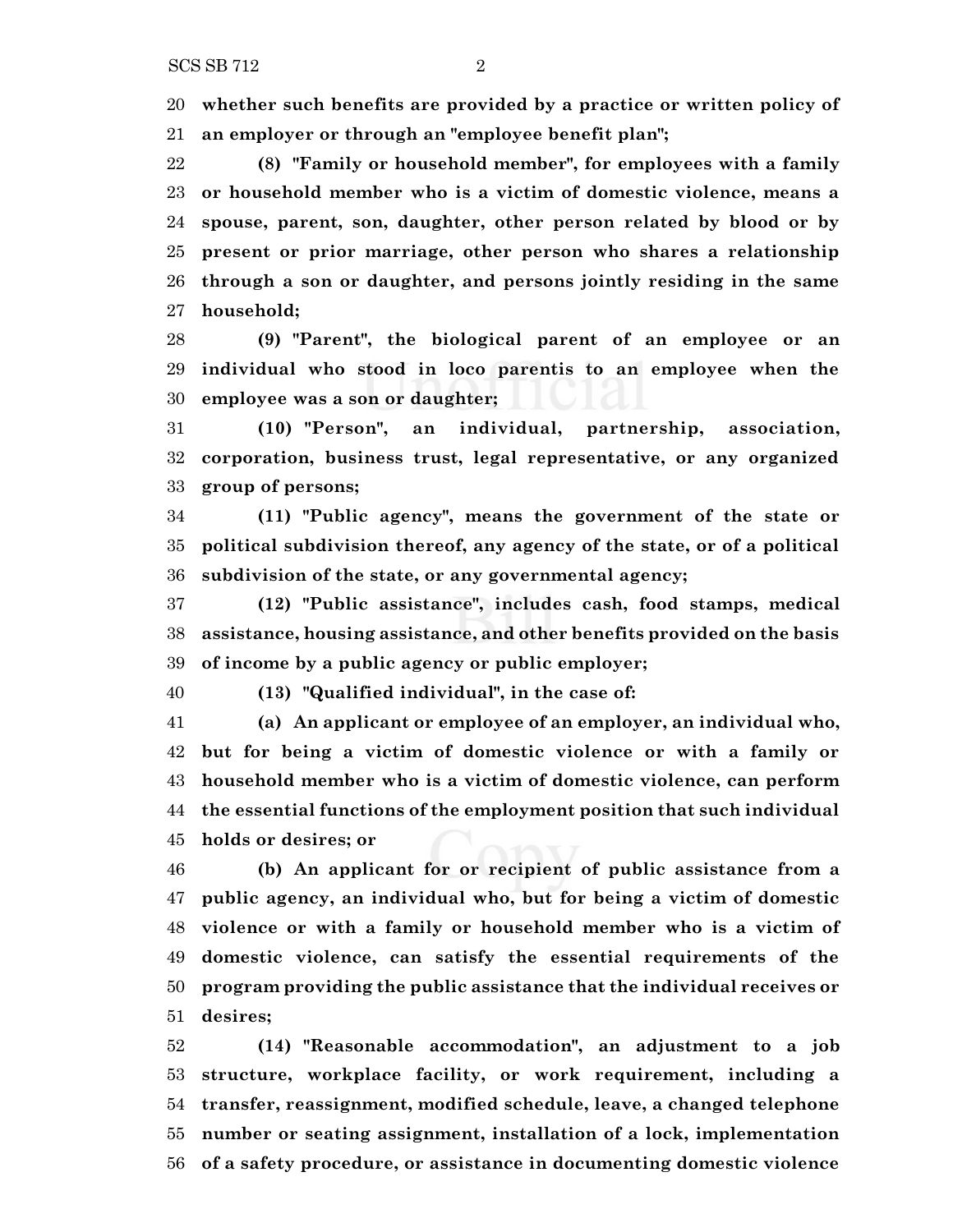**whether such benefits are provided by a practice or written policy of**

**an employer or through an "employee benefit plan";**

 **(8) "Family or household member", for employees with a family or household member who is a victim of domestic violence, means a spouse, parent, son, daughter, other person related by blood or by present or prior marriage, other person who shares a relationship through a son or daughter, and persons jointly residing in the same household;**

 **(9) "Parent", the biological parent of an employee or an individual who stood in loco parentis to an employee when the employee was a son or daughter;**

 **(10) "Person", an individual, partnership, association, corporation, business trust, legal representative, or any organized group of persons;**

 **(11) "Public agency", means the government of the state or political subdivision thereof, any agency of the state, or of a political subdivision of the state, or any governmental agency;**

 **(12) "Public assistance", includes cash, food stamps, medical assistance, housing assistance, and other benefits provided on the basis of income by a public agency or public employer;**

**(13) "Qualified individual", in the case of:**

 **(a) An applicant or employee of an employer, an individual who, but for being a victim of domestic violence or with a family or household member who is a victim of domestic violence, can perform the essential functions of the employment position that such individual holds or desires; or**

 **(b) An applicant for or recipient of public assistance from a public agency, an individual who, but for being a victim of domestic violence or with a family or household member who is a victim of domestic violence, can satisfy the essential requirements of the program providing the public assistance that the individual receives or desires;**

 **(14) "Reasonable accommodation", an adjustment to a job structure, workplace facility, or work requirement, including a transfer, reassignment, modified schedule, leave, a changed telephone number or seating assignment, installation of a lock, implementation of a safety procedure, or assistance in documenting domestic violence**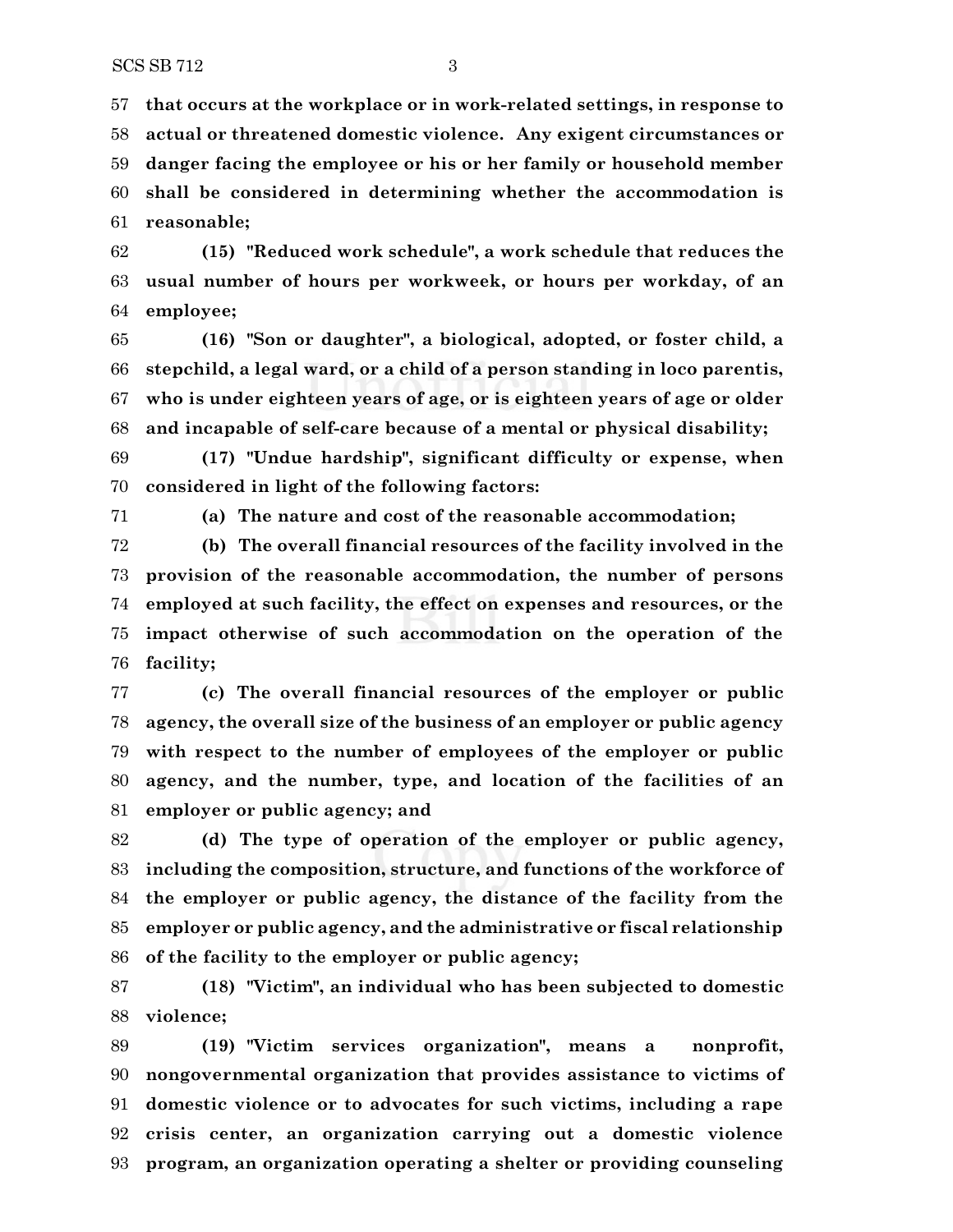**that occurs at the workplace or in work-related settings, in response to actual or threatened domestic violence. Any exigent circumstances or danger facing the employee or his or her family or household member shall be considered in determining whether the accommodation is reasonable;**

 **(15) "Reduced work schedule", a work schedule that reduces the usual number of hours per workweek, or hours per workday, of an employee;**

 **(16) "Son or daughter", a biological, adopted, or foster child, a stepchild, a legal ward, or a child of a person standing in loco parentis, who is under eighteen years of age, or is eighteen years of age or older and incapable of self-care because of a mental or physical disability;**

 **(17) "Undue hardship", significant difficulty or expense, when considered in light of the following factors:**

**(a) The nature and cost of the reasonable accommodation;**

 **(b) The overall financial resources of the facility involved in the provision of the reasonable accommodation, the number of persons employed at such facility, the effect on expenses and resources, or the impact otherwise of such accommodation on the operation of the facility;**

 **(c) The overall financial resources of the employer or public agency, the overall size of the business of an employer or public agency with respect to the number of employees of the employer or public agency, and the number, type, and location of the facilities of an employer or public agency; and**

 **(d) The type of operation of the employer or public agency, including the composition, structure, and functions of the workforce of the employer or public agency, the distance of the facility from the employer or public agency, and the administrative or fiscal relationship of the facility to the employer or public agency;**

 **(18) "Victim", an individual who has been subjected to domestic violence;**

 **(19) "Victim services organization", means a nonprofit, nongovernmental organization that provides assistance to victims of domestic violence or to advocates for such victims, including a rape crisis center, an organization carrying out a domestic violence program, an organization operating a shelter or providing counseling**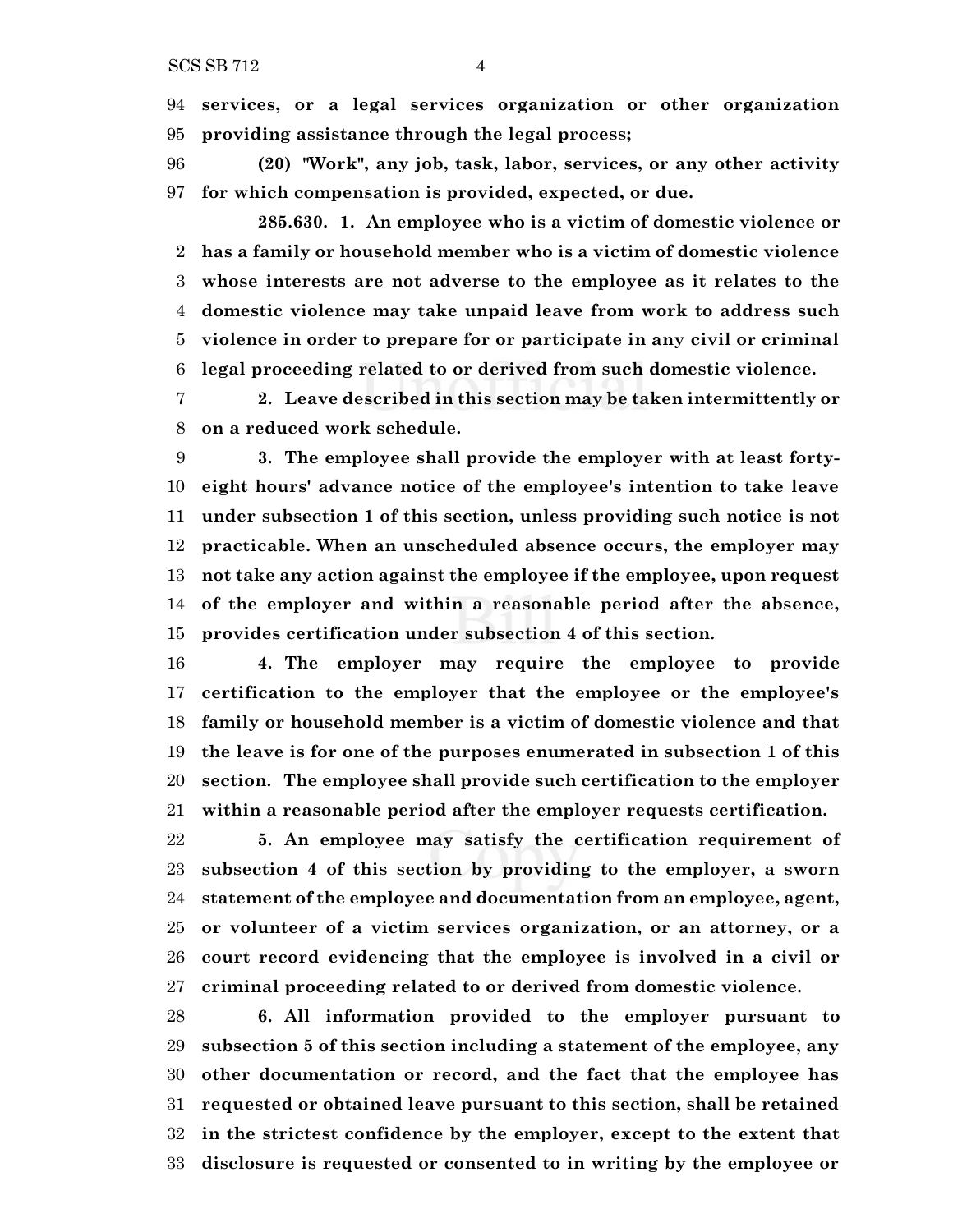**services, or a legal services organization or other organization providing assistance through the legal process;**

 **(20) "Work", any job, task, labor, services, or any other activity for which compensation is provided, expected, or due.**

**285.630. 1. An employee who is a victim of domestic violence or has a family or household member who is a victim of domestic violence whose interests are not adverse to the employee as it relates to the domestic violence may take unpaid leave from work to address such violence in order to prepare for or participate in any civil or criminal legal proceeding related to or derived from such domestic violence.**

 **2. Leave described in this section may be taken intermittently or on a reduced work schedule.**

 **3. The employee shall provide the employer with at least forty- eight hours' advance notice of the employee's intention to take leave under subsection 1 of this section, unless providing such notice is not practicable. When an unscheduled absence occurs, the employer may not take any action against the employee if the employee, upon request of the employer and within a reasonable period after the absence, provides certification under subsection 4 of this section.**

 **4. The employer may require the employee to provide certification to the employer that the employee or the employee's family or household member is a victim of domestic violence and that the leave is for one of the purposes enumerated in subsection 1 of this section. The employee shall provide such certification to the employer within a reasonable period after the employer requests certification.**

 **5. An employee may satisfy the certification requirement of subsection 4 of this section by providing to the employer, a sworn statement of the employee and documentation from an employee, agent, or volunteer of a victim services organization, or an attorney, or a court record evidencing that the employee is involved in a civil or criminal proceeding related to or derived from domestic violence.**

 **6. All information provided to the employer pursuant to subsection 5 of this section including a statement of the employee, any other documentation or record, and the fact that the employee has requested or obtained leave pursuant to this section, shall be retained in the strictest confidence by the employer, except to the extent that disclosure is requested or consented to in writing by the employee or**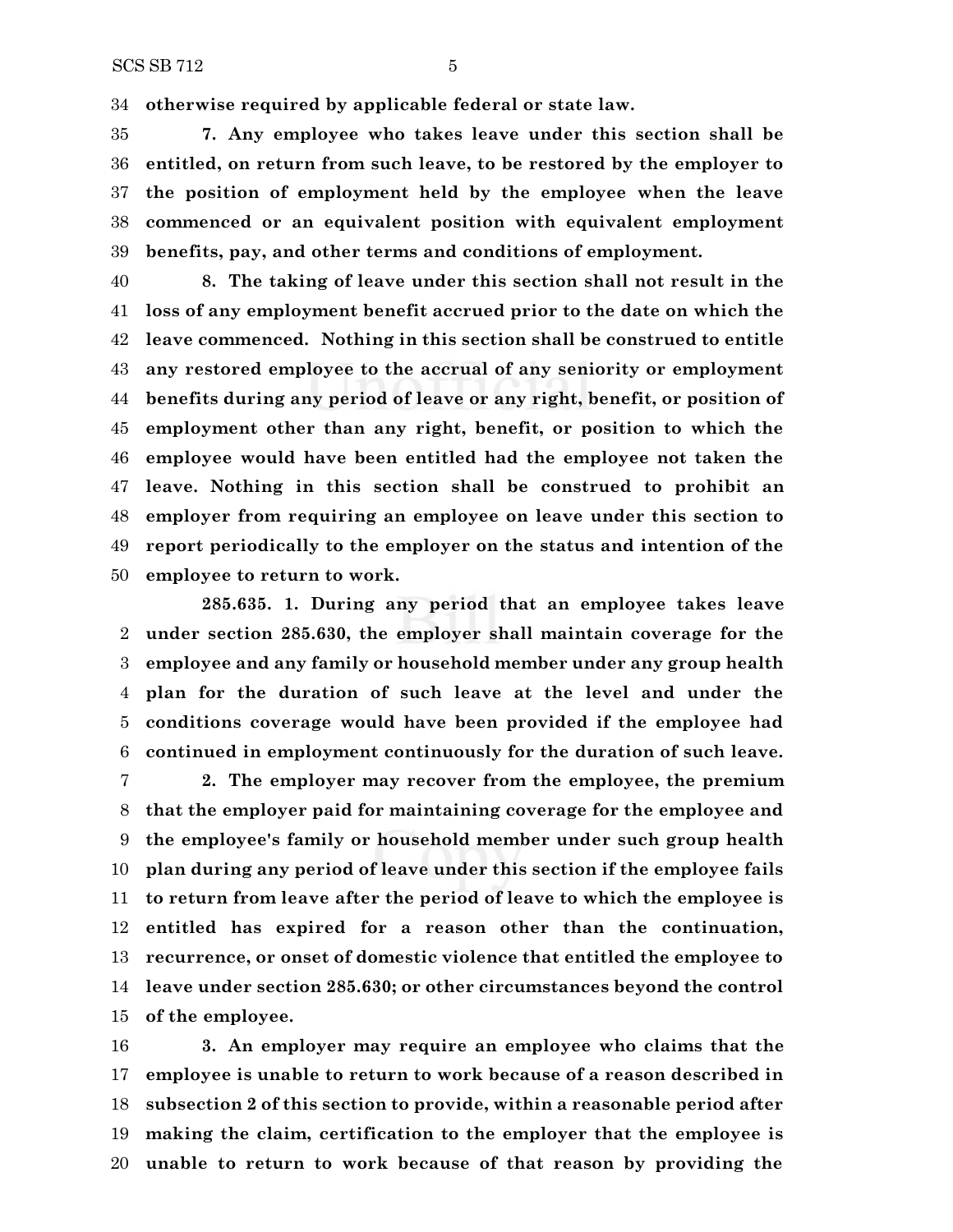**otherwise required by applicable federal or state law.**

 **7. Any employee who takes leave under this section shall be entitled, on return from such leave, to be restored by the employer to the position of employment held by the employee when the leave commenced or an equivalent position with equivalent employment benefits, pay, and other terms and conditions of employment.**

 **8. The taking of leave under this section shall not result in the loss of any employment benefit accrued prior to the date on which the leave commenced. Nothing in this section shall be construed to entitle any restored employee to the accrual of any seniority or employment benefits during any period of leave or any right, benefit, or position of employment other than any right, benefit, or position to which the employee would have been entitled had the employee not taken the leave. Nothing in this section shall be construed to prohibit an employer from requiring an employee on leave under this section to report periodically to the employer on the status and intention of the employee to return to work.**

**285.635. 1. During any period that an employee takes leave under section 285.630, the employer shall maintain coverage for the employee and any family or household member under any group health plan for the duration of such leave at the level and under the conditions coverage would have been provided if the employee had continued in employment continuously for the duration of such leave.**

 **2. The employer may recover from the employee, the premium that the employer paid for maintaining coverage for the employee and the employee's family or household member under such group health plan during any period of leave under this section if the employee fails to return from leave after the period of leave to which the employee is entitled has expired for a reason other than the continuation, recurrence, or onset of domestic violence that entitled the employee to leave under section 285.630; or other circumstances beyond the control of the employee.**

 **3. An employer may require an employee who claims that the employee is unable to return to work because of a reason described in subsection 2 of this section to provide, within a reasonable period after making the claim, certification to the employer that the employee is unable to return to work because of that reason by providing the**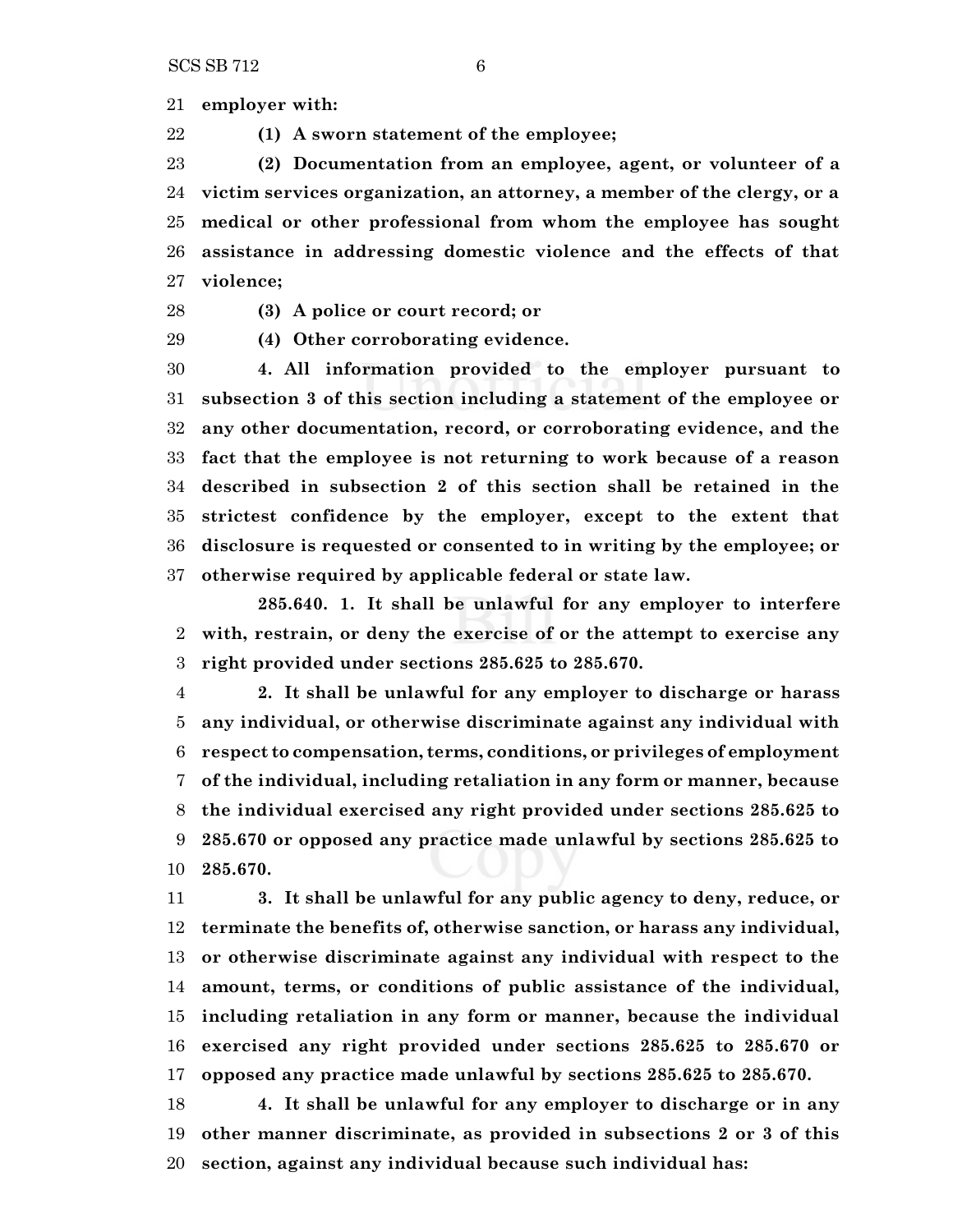**employer with:**

**(1) A sworn statement of the employee;**

 **(2) Documentation from an employee, agent, or volunteer of a victim services organization, an attorney, a member of the clergy, or a medical or other professional from whom the employee has sought assistance in addressing domestic violence and the effects of that violence;**

**(3) A police or court record; or**

**(4) Other corroborating evidence.**

 **4. All information provided to the employer pursuant to subsection 3 of this section including a statement of the employee or any other documentation, record, or corroborating evidence, and the fact that the employee is not returning to work because of a reason described in subsection 2 of this section shall be retained in the strictest confidence by the employer, except to the extent that disclosure is requested or consented to in writing by the employee; or otherwise required by applicable federal or state law.**

**285.640. 1. It shall be unlawful for any employer to interfere with, restrain, or deny the exercise of or the attempt to exercise any right provided under sections 285.625 to 285.670.**

 **2. It shall be unlawful for any employer to discharge or harass any individual, or otherwise discriminate against any individual with respect to compensation, terms, conditions, or privileges of employment of the individual, including retaliation in any form or manner, because the individual exercised any right provided under sections 285.625 to 285.670 or opposed any practice made unlawful by sections 285.625 to 285.670.**

 **3. It shall be unlawful for any public agency to deny, reduce, or terminate the benefits of, otherwise sanction, or harass any individual, or otherwise discriminate against any individual with respect to the amount, terms, or conditions of public assistance of the individual, including retaliation in any form or manner, because the individual exercised any right provided under sections 285.625 to 285.670 or opposed any practice made unlawful by sections 285.625 to 285.670.**

 **4. It shall be unlawful for any employer to discharge or in any other manner discriminate, as provided in subsections 2 or 3 of this section, against any individual because such individual has:**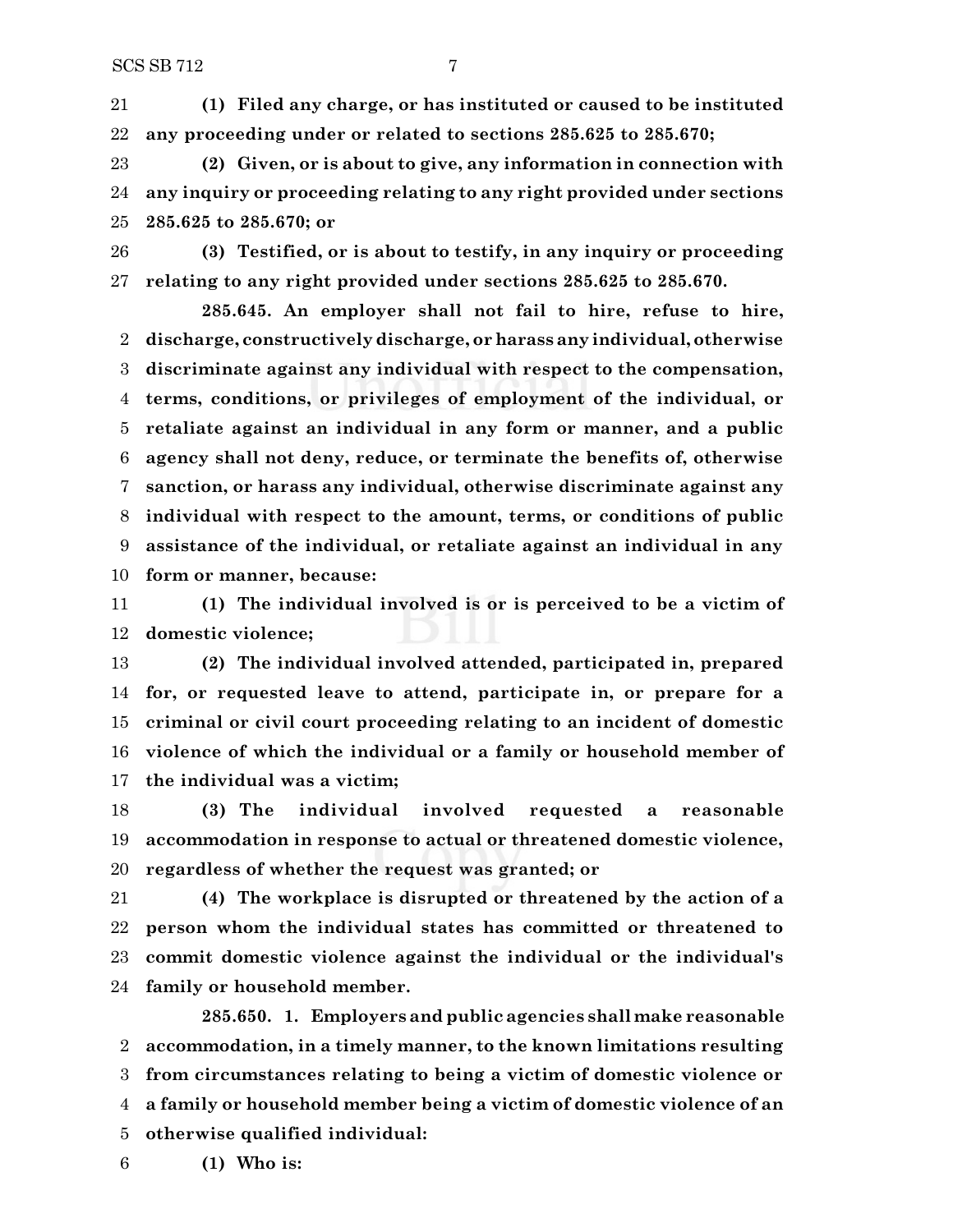**(1) Filed any charge, or has instituted or caused to be instituted any proceeding under or related to sections 285.625 to 285.670;**

 **(2) Given, or is about to give, any information in connection with any inquiry or proceeding relating to any right provided under sections 285.625 to 285.670; or**

 **(3) Testified, or is about to testify, in any inquiry or proceeding relating to any right provided under sections 285.625 to 285.670.**

**285.645. An employer shall not fail to hire, refuse to hire, discharge, constructively discharge, or harass any individual, otherwise discriminate against any individual with respect to the compensation, terms, conditions, or privileges of employment of the individual, or retaliate against an individual in any form or manner, and a public agency shall not deny, reduce, or terminate the benefits of, otherwise sanction, or harass any individual, otherwise discriminate against any individual with respect to the amount, terms, or conditions of public assistance of the individual, or retaliate against an individual in any form or manner, because:**

 **(1) The individual involved is or is perceived to be a victim of domestic violence;**

 **(2) The individual involved attended, participated in, prepared for, or requested leave to attend, participate in, or prepare for a criminal or civil court proceeding relating to an incident of domestic violence of which the individual or a family or household member of the individual was a victim;**

 **(3) The individual involved requested a reasonable accommodation in response to actual or threatened domestic violence, regardless of whether the request was granted; or**

 **(4) The workplace is disrupted or threatened by the action of a person whom the individual states has committed or threatened to commit domestic violence against the individual or the individual's family or household member.**

**285.650. 1. Employers and public agencies shall make reasonable accommodation, in a timely manner, to the known limitations resulting from circumstances relating to being a victim of domestic violence or a family or household member being a victim of domestic violence of an otherwise qualified individual:**

**(1) Who is:**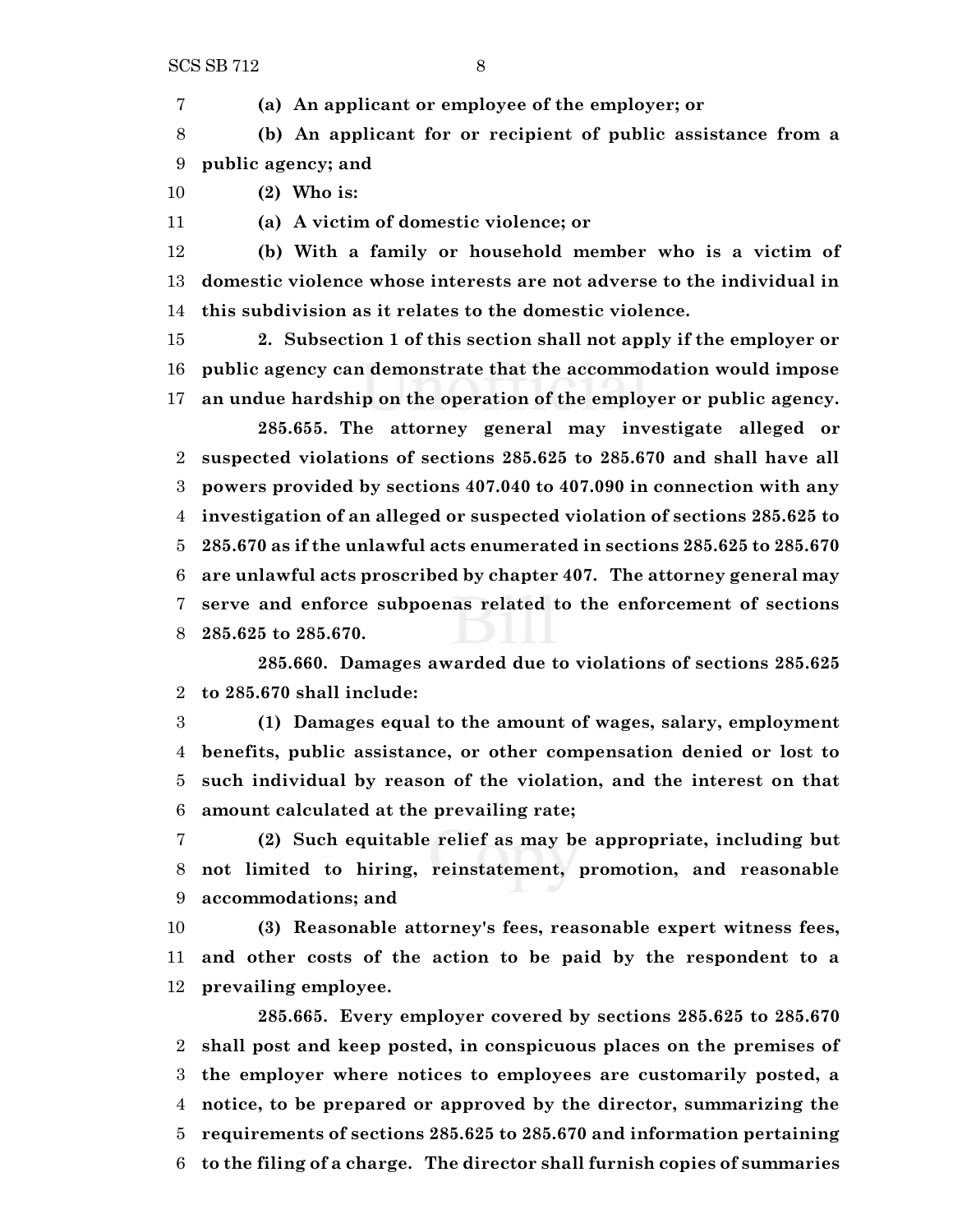**(a) An applicant or employee of the employer; or**

 **(b) An applicant for or recipient of public assistance from a public agency; and**

**(2) Who is:**

**(a) A victim of domestic violence; or**

 **(b) With a family or household member who is a victim of domestic violence whose interests are not adverse to the individual in this subdivision as it relates to the domestic violence.**

 **2. Subsection 1 of this section shall not apply if the employer or public agency can demonstrate that the accommodation would impose an undue hardship on the operation of the employer or public agency.**

**285.655. The attorney general may investigate alleged or suspected violations of sections 285.625 to 285.670 and shall have all powers provided by sections 407.040 to 407.090 in connection with any investigation of an alleged or suspected violation of sections 285.625 to 285.670 as if the unlawful acts enumerated in sections 285.625 to 285.670 are unlawful acts proscribed by chapter 407. The attorney general may serve and enforce subpoenas related to the enforcement of sections 285.625 to 285.670.**

**285.660. Damages awarded due to violations of sections 285.625 to 285.670 shall include:**

 **(1) Damages equal to the amount of wages, salary, employment benefits, public assistance, or other compensation denied or lost to such individual by reason of the violation, and the interest on that amount calculated at the prevailing rate;**

 **(2) Such equitable relief as may be appropriate, including but not limited to hiring, reinstatement, promotion, and reasonable accommodations; and**

 **(3) Reasonable attorney's fees, reasonable expert witness fees, and other costs of the action to be paid by the respondent to a prevailing employee.**

**285.665. Every employer covered by sections 285.625 to 285.670 shall post and keep posted, in conspicuous places on the premises of the employer where notices to employees are customarily posted, a notice, to be prepared or approved by the director, summarizing the requirements of sections 285.625 to 285.670 and information pertaining to the filing of a charge. The director shall furnish copies of summaries**